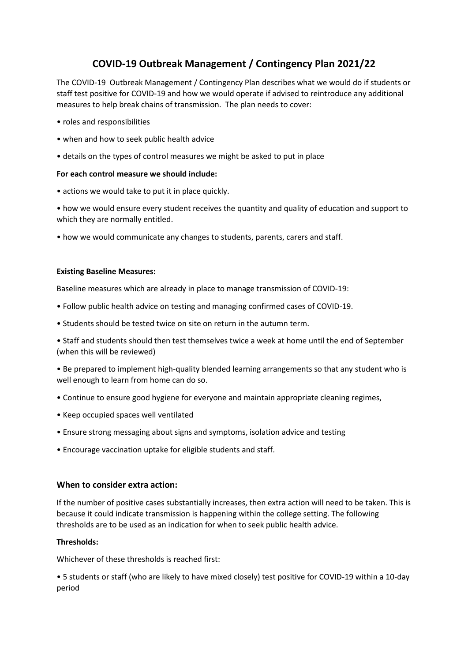# **COVID-19 Outbreak Management / Contingency Plan 2021/22**

The COVID-19 Outbreak Management / Contingency Plan describes what we would do if students or staff test positive for COVID-19 and how we would operate if advised to reintroduce any additional measures to help break chains of transmission. The plan needs to cover:

- roles and responsibilities
- when and how to seek public health advice
- details on the types of control measures we might be asked to put in place

## **For each control measure we should include:**

• actions we would take to put it in place quickly.

• how we would ensure every student receives the quantity and quality of education and support to which they are normally entitled.

• how we would communicate any changes to students, parents, carers and staff.

## **Existing Baseline Measures:**

Baseline measures which are already in place to manage transmission of COVID-19:

- Follow public health advice on testing and managing confirmed cases of COVID-19.
- Students should be tested twice on site on return in the autumn term.

• Staff and students should then test themselves twice a week at home until the end of September (when this will be reviewed)

• Be prepared to implement high-quality blended learning arrangements so that any student who is well enough to learn from home can do so.

- Continue to ensure good hygiene for everyone and maintain appropriate cleaning regimes,
- Keep occupied spaces well ventilated
- Ensure strong messaging about signs and symptoms, isolation advice and testing
- Encourage vaccination uptake for eligible students and staff.

# **When to consider extra action:**

If the number of positive cases substantially increases, then extra action will need to be taken. This is because it could indicate transmission is happening within the college setting. The following thresholds are to be used as an indication for when to seek public health advice.

## **Thresholds:**

Whichever of these thresholds is reached first:

• 5 students or staff (who are likely to have mixed closely) test positive for COVID-19 within a 10-day period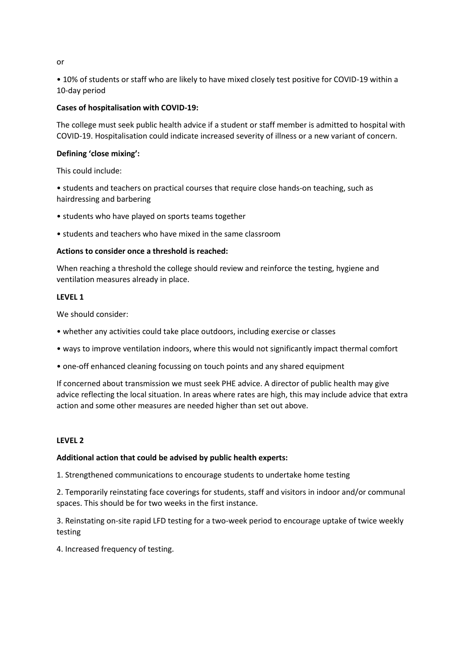or

• 10% of students or staff who are likely to have mixed closely test positive for COVID-19 within a 10-day period

## **Cases of hospitalisation with COVID-19:**

The college must seek public health advice if a student or staff member is admitted to hospital with COVID-19. Hospitalisation could indicate increased severity of illness or a new variant of concern.

## **Defining 'close mixing':**

This could include:

• students and teachers on practical courses that require close hands-on teaching, such as hairdressing and barbering

- students who have played on sports teams together
- students and teachers who have mixed in the same classroom

## **Actions to consider once a threshold is reached:**

When reaching a threshold the college should review and reinforce the testing, hygiene and ventilation measures already in place.

## **LEVEL 1**

We should consider:

- whether any activities could take place outdoors, including exercise or classes
- ways to improve ventilation indoors, where this would not significantly impact thermal comfort
- one-off enhanced cleaning focussing on touch points and any shared equipment

If concerned about transmission we must seek PHE advice. A director of public health may give advice reflecting the local situation. In areas where rates are high, this may include advice that extra action and some other measures are needed higher than set out above.

## **LEVEL 2**

## **Additional action that could be advised by public health experts:**

1. Strengthened communications to encourage students to undertake home testing

2. Temporarily reinstating face coverings for students, staff and visitors in indoor and/or communal spaces. This should be for two weeks in the first instance.

3. Reinstating on-site rapid LFD testing for a two-week period to encourage uptake of twice weekly testing

4. Increased frequency of testing.